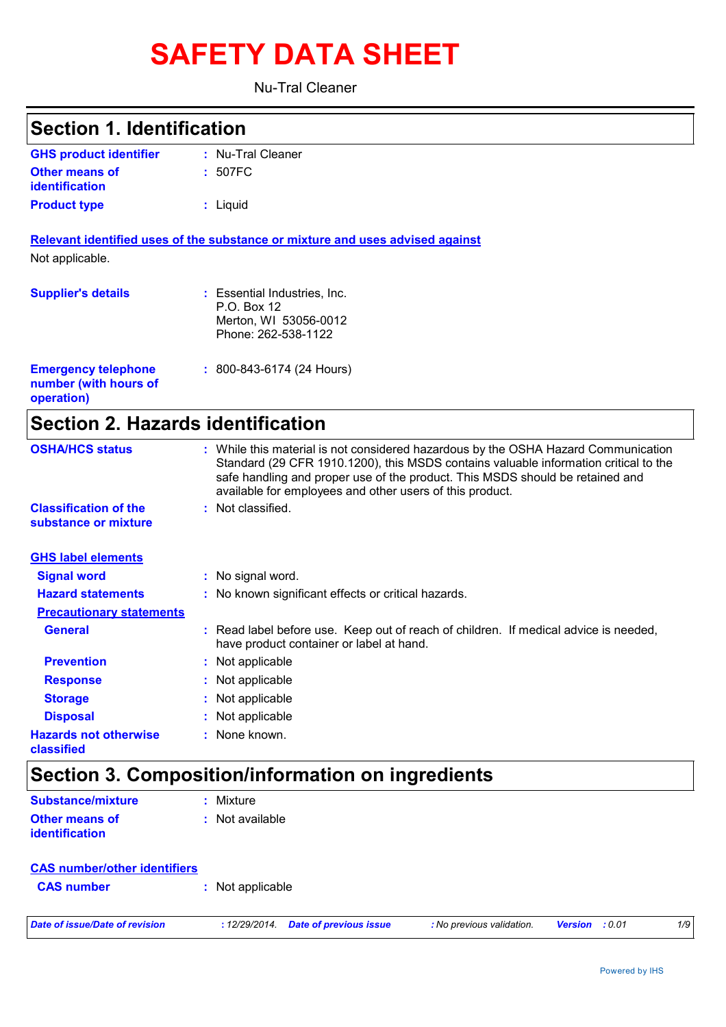# **SAFETY DATA SHEET**

Nu-Tral Cleaner

| <b>Section 1. Identification</b>                                  |                                                                                                                                                                                                                                                                                                                         |
|-------------------------------------------------------------------|-------------------------------------------------------------------------------------------------------------------------------------------------------------------------------------------------------------------------------------------------------------------------------------------------------------------------|
| <b>GHS product identifier</b>                                     | : Nu-Tral Cleaner                                                                                                                                                                                                                                                                                                       |
| <b>Other means of</b><br><b>identification</b>                    | : 507FC                                                                                                                                                                                                                                                                                                                 |
| <b>Product type</b>                                               | : Liquid                                                                                                                                                                                                                                                                                                                |
|                                                                   | Relevant identified uses of the substance or mixture and uses advised against                                                                                                                                                                                                                                           |
| Not applicable.                                                   |                                                                                                                                                                                                                                                                                                                         |
| <b>Supplier's details</b>                                         | : Essential Industries, Inc.<br>P.O. Box 12<br>Merton, WI 53056-0012<br>Phone: 262-538-1122                                                                                                                                                                                                                             |
| <b>Emergency telephone</b><br>number (with hours of<br>operation) | $: 800 - 843 - 6174$ (24 Hours)                                                                                                                                                                                                                                                                                         |
| <b>Section 2. Hazards identification</b>                          |                                                                                                                                                                                                                                                                                                                         |
| <b>OSHA/HCS status</b>                                            | : While this material is not considered hazardous by the OSHA Hazard Communication<br>Standard (29 CFR 1910.1200), this MSDS contains valuable information critical to the<br>safe handling and proper use of the product. This MSDS should be retained and<br>available for employees and other users of this product. |
| <b>Classification of the</b><br>substance or mixture              | : Not classified.                                                                                                                                                                                                                                                                                                       |
| <b>GHS label elements</b>                                         |                                                                                                                                                                                                                                                                                                                         |
| <b>Signal word</b>                                                | : No signal word.                                                                                                                                                                                                                                                                                                       |
| <b>Hazard statements</b>                                          | : No known significant effects or critical hazards.                                                                                                                                                                                                                                                                     |
| <b>Precautionary statements</b>                                   |                                                                                                                                                                                                                                                                                                                         |
| <b>General</b>                                                    | : Read label before use. Keep out of reach of children. If medical advice is needed,<br>have product container or label at hand.                                                                                                                                                                                        |
| <b>Prevention</b>                                                 | : Not applicable                                                                                                                                                                                                                                                                                                        |
| <b>Response</b>                                                   | : Not applicable                                                                                                                                                                                                                                                                                                        |
| <b>Storage</b>                                                    | : Not applicable                                                                                                                                                                                                                                                                                                        |
| <b>Disposal</b>                                                   | : Not applicable                                                                                                                                                                                                                                                                                                        |
| <b>Hazards not otherwise</b><br>classified                        | : None known.                                                                                                                                                                                                                                                                                                           |
|                                                                   | Section 3. Composition/information on ingredients                                                                                                                                                                                                                                                                       |
| <b>Substance/mixture</b>                                          | : Mixture                                                                                                                                                                                                                                                                                                               |
| <b>Other means of</b>                                             | : Not available                                                                                                                                                                                                                                                                                                         |

| <b>CAS number/other identifiers</b> |                  |
|-------------------------------------|------------------|
| <b>CAS number</b>                   | : Not applicable |

**identification**

*Date of issue/Date of revision* **:** *12/29/2014. Date of previous issue : No previous validation. Version : 0.01 1/9*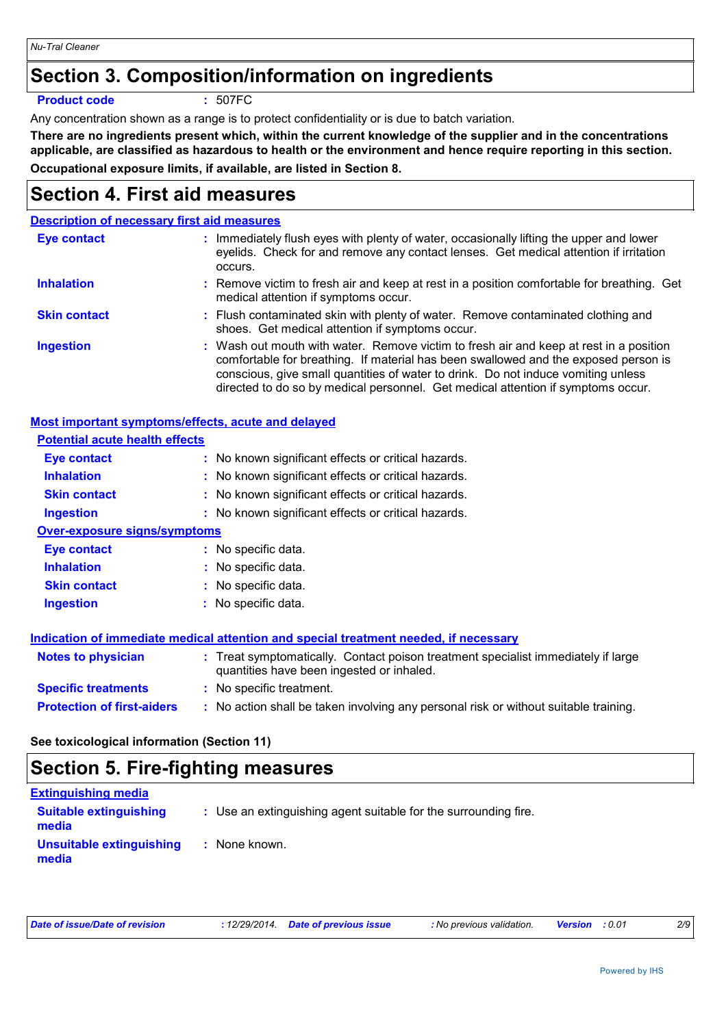## **Section 3. Composition/information on ingredients**

### **Product code :** 507FC

Any concentration shown as a range is to protect confidentiality or is due to batch variation.

**There are no ingredients present which, within the current knowledge of the supplier and in the concentrations applicable, are classified as hazardous to health or the environment and hence require reporting in this section. Occupational exposure limits, if available, are listed in Section 8.**

## **Section 4. First aid measures**

### **Description of necessary first aid measures**

| Eye contact         | : Immediately flush eyes with plenty of water, occasionally lifting the upper and lower<br>eyelids. Check for and remove any contact lenses. Get medical attention if irritation<br>occurs.                                                                                                                                                            |
|---------------------|--------------------------------------------------------------------------------------------------------------------------------------------------------------------------------------------------------------------------------------------------------------------------------------------------------------------------------------------------------|
| <b>Inhalation</b>   | : Remove victim to fresh air and keep at rest in a position comfortable for breathing. Get<br>medical attention if symptoms occur.                                                                                                                                                                                                                     |
| <b>Skin contact</b> | : Flush contaminated skin with plenty of water. Remove contaminated clothing and<br>shoes. Get medical attention if symptoms occur.                                                                                                                                                                                                                    |
| <b>Ingestion</b>    | : Wash out mouth with water. Remove victim to fresh air and keep at rest in a position<br>comfortable for breathing. If material has been swallowed and the exposed person is<br>conscious, give small quantities of water to drink. Do not induce vomiting unless<br>directed to do so by medical personnel. Get medical attention if symptoms occur. |

| Most important symptoms/effects, acute and delayed |                                                                                                                                |
|----------------------------------------------------|--------------------------------------------------------------------------------------------------------------------------------|
| <b>Potential acute health effects</b>              |                                                                                                                                |
| <b>Eye contact</b>                                 | : No known significant effects or critical hazards.                                                                            |
| <b>Inhalation</b>                                  | : No known significant effects or critical hazards.                                                                            |
| <b>Skin contact</b>                                | : No known significant effects or critical hazards.                                                                            |
| <b>Ingestion</b>                                   | : No known significant effects or critical hazards.                                                                            |
| <b>Over-exposure signs/symptoms</b>                |                                                                                                                                |
| <b>Eye contact</b>                                 | : No specific data.                                                                                                            |
| <b>Inhalation</b>                                  | $:$ No specific data.                                                                                                          |
| <b>Skin contact</b>                                | : No specific data.                                                                                                            |
| <b>Ingestion</b>                                   | : No specific data.                                                                                                            |
|                                                    | Indication of immediate medical attention and special treatment needed, if necessary                                           |
| <b>Notes to physician</b>                          | : Treat symptomatically. Contact poison treatment specialist immediately if large<br>quantities have been ingested or inhaled. |
| <b>Specific treatments</b>                         | : No specific treatment.                                                                                                       |
| <b>Protection of first-aiders</b>                  | : No action shall be taken involving any personal risk or without suitable training.                                           |

### **See toxicological information (Section 11)**

## **Section 5. Fire-fighting measures**

| <b>Extinguishing media</b>             |                                                                 |
|----------------------------------------|-----------------------------------------------------------------|
| <b>Suitable extinguishing</b><br>media | : Use an extinguishing agent suitable for the surrounding fire. |
| Unsuitable extinguishing<br>media      | : None known.                                                   |

| Date of issue/Date of revision | : 12/29/2014 Date of previous issue | : No previous validation. | <b>Version</b> : 0.01 |  |
|--------------------------------|-------------------------------------|---------------------------|-----------------------|--|
|--------------------------------|-------------------------------------|---------------------------|-----------------------|--|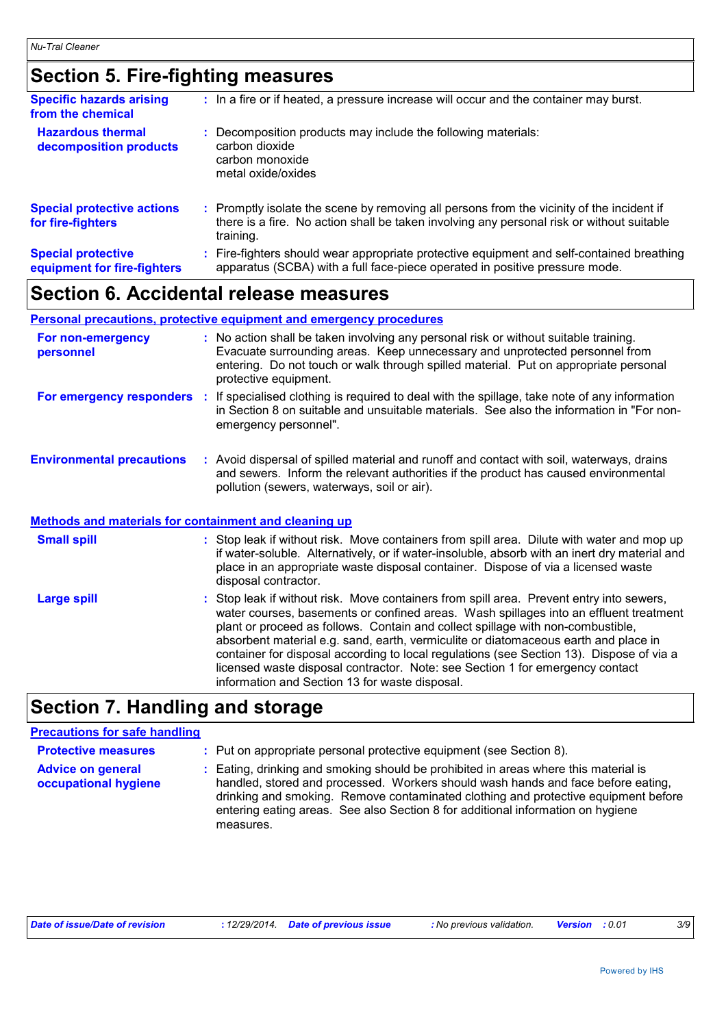## **Section 5. Fire-fighting measures**

| <b>Specific hazards arising</b><br>from the chemical     | : In a fire or if heated, a pressure increase will occur and the container may burst.                                                                                                               |  |
|----------------------------------------------------------|-----------------------------------------------------------------------------------------------------------------------------------------------------------------------------------------------------|--|
| <b>Hazardous thermal</b><br>decomposition products       | Decomposition products may include the following materials:<br>carbon dioxide<br>carbon monoxide<br>metal oxide/oxides                                                                              |  |
| <b>Special protective actions</b><br>for fire-fighters   | : Promptly isolate the scene by removing all persons from the vicinity of the incident if<br>there is a fire. No action shall be taken involving any personal risk or without suitable<br>training. |  |
| <b>Special protective</b><br>equipment for fire-fighters | Fire-fighters should wear appropriate protective equipment and self-contained breathing<br>apparatus (SCBA) with a full face-piece operated in positive pressure mode.                              |  |

## **Section 6. Accidental release measures**

|                                                       | <b>Personal precautions, protective equipment and emergency procedures</b>                                                                                                                                                                                                                               |
|-------------------------------------------------------|----------------------------------------------------------------------------------------------------------------------------------------------------------------------------------------------------------------------------------------------------------------------------------------------------------|
| For non-emergency<br>personnel                        | : No action shall be taken involving any personal risk or without suitable training.<br>Evacuate surrounding areas. Keep unnecessary and unprotected personnel from<br>entering. Do not touch or walk through spilled material. Put on appropriate personal<br>protective equipment.                     |
|                                                       | For emergency responders : If specialised clothing is required to deal with the spillage, take note of any information<br>in Section 8 on suitable and unsuitable materials. See also the information in "For non-<br>emergency personnel".                                                              |
| <b>Environmental precautions</b>                      | : Avoid dispersal of spilled material and runoff and contact with soil, waterways, drains<br>and sewers. Inform the relevant authorities if the product has caused environmental<br>pollution (sewers, waterways, soil or air).                                                                          |
| Methods and materials for containment and cleaning up |                                                                                                                                                                                                                                                                                                          |
| <b>Small spill</b>                                    | : Stop leak if without risk. Move containers from spill area. Dilute with water and mop up<br>if water-soluble. Alternatively, or if water-insoluble, absorb with an inert dry material and<br>place in an appropriate waste disposal container. Dispose of via a licensed waste<br>disposal contractor. |
| <b>Large spill</b>                                    | : Stop leak if without risk. Move containers from spill area. Prevent entry into sewers,<br>water courses, basements or confined areas. Wash spillages into an effluent treatment<br>plant or proceed as follows. Contain and collect spillage with non-combustible                                      |

age with non-col absorbent material e.g. sand, earth, vermiculite or diatomaceous earth and place in container for disposal according to local regulations (see Section 13). Dispose of via a licensed waste disposal contractor. Note: see Section 1 for emergency contact information and Section 13 for waste disposal.

## **Section 7. Handling and storage**

### **Precautions for safe handling**

| <b>Protective measures</b>                       | : Put on appropriate personal protective equipment (see Section 8).                                                                                                                                                                                                                                                                                           |
|--------------------------------------------------|---------------------------------------------------------------------------------------------------------------------------------------------------------------------------------------------------------------------------------------------------------------------------------------------------------------------------------------------------------------|
| <b>Advice on general</b><br>occupational hygiene | : Eating, drinking and smoking should be prohibited in areas where this material is<br>handled, stored and processed. Workers should wash hands and face before eating,<br>drinking and smoking. Remove contaminated clothing and protective equipment before<br>entering eating areas. See also Section 8 for additional information on hygiene<br>measures. |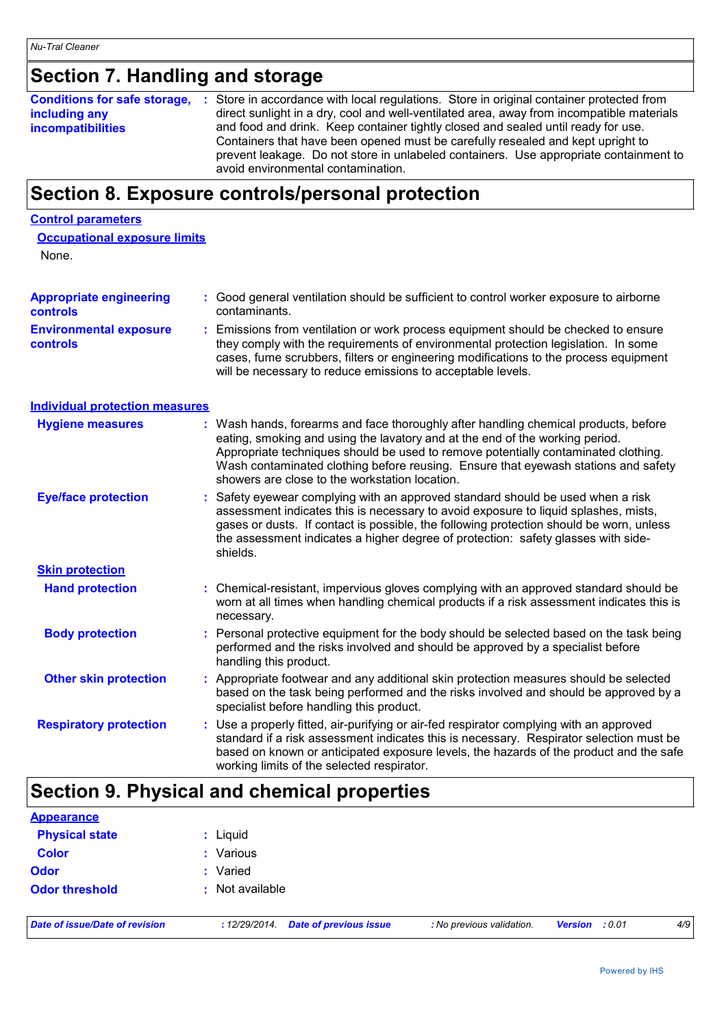## **Section 7. Handling and storage**

| <b>Conditions for safe storage,</b> | : Store in accordance with local regulations. Store in original container protected from  |
|-------------------------------------|-------------------------------------------------------------------------------------------|
| including any                       | direct sunlight in a dry, cool and well-ventilated area, away from incompatible materials |
| <b>incompatibilities</b>            | and food and drink. Keep container tightly closed and sealed until ready for use.         |
|                                     | Containers that have been opened must be carefully resealed and kept upright to           |
|                                     | prevent leakage. Do not store in unlabeled containers. Use appropriate containment to     |
|                                     | avoid environmental contamination.                                                        |

## **Section 8. Exposure controls/personal protection**

### **Control parameters**

| <b>Occupational exposure limits</b> |  |
|-------------------------------------|--|
| $\mathbf{N}$                        |  |

None.

| <b>Appropriate engineering</b><br><b>controls</b> | : Good general ventilation should be sufficient to control worker exposure to airborne<br>contaminants.                                                                                                                                                                                                                         |  |
|---------------------------------------------------|---------------------------------------------------------------------------------------------------------------------------------------------------------------------------------------------------------------------------------------------------------------------------------------------------------------------------------|--|
| <b>Environmental exposure</b><br><b>controls</b>  | : Emissions from ventilation or work process equipment should be checked to ensure<br>they comply with the requirements of environmental protection legislation. In some<br>cases, fume scrubbers, filters or engineering modifications to the process equipment<br>will be necessary to reduce emissions to acceptable levels. |  |

**Individual protection measures**

| <b>Hygiene measures</b>       | : Wash hands, forearms and face thoroughly after handling chemical products, before<br>eating, smoking and using the lavatory and at the end of the working period.<br>Appropriate techniques should be used to remove potentially contaminated clothing.<br>Wash contaminated clothing before reusing. Ensure that eyewash stations and safety<br>showers are close to the workstation location. |  |
|-------------------------------|---------------------------------------------------------------------------------------------------------------------------------------------------------------------------------------------------------------------------------------------------------------------------------------------------------------------------------------------------------------------------------------------------|--|
| <b>Eye/face protection</b>    | : Safety eyewear complying with an approved standard should be used when a risk<br>assessment indicates this is necessary to avoid exposure to liquid splashes, mists,<br>gases or dusts. If contact is possible, the following protection should be worn, unless<br>the assessment indicates a higher degree of protection: safety glasses with side-<br>shields.                                |  |
| <b>Skin protection</b>        |                                                                                                                                                                                                                                                                                                                                                                                                   |  |
| <b>Hand protection</b>        | : Chemical-resistant, impervious gloves complying with an approved standard should be<br>worn at all times when handling chemical products if a risk assessment indicates this is<br>necessary.                                                                                                                                                                                                   |  |
| <b>Body protection</b>        | : Personal protective equipment for the body should be selected based on the task being<br>performed and the risks involved and should be approved by a specialist before<br>handling this product.                                                                                                                                                                                               |  |
| <b>Other skin protection</b>  | : Appropriate footwear and any additional skin protection measures should be selected<br>based on the task being performed and the risks involved and should be approved by a<br>specialist before handling this product.                                                                                                                                                                         |  |
| <b>Respiratory protection</b> | : Use a properly fitted, air-purifying or air-fed respirator complying with an approved<br>standard if a risk assessment indicates this is necessary. Respirator selection must be<br>based on known or anticipated exposure levels, the hazards of the product and the safe<br>working limits of the selected respirator.                                                                        |  |

## **Section 9. Physical and chemical properties**

| <b>Appearance</b>     |                 |
|-----------------------|-----------------|
| <b>Physical state</b> | : Liquid        |
| <b>Color</b>          | : Various       |
| <b>Odor</b>           | : Varied        |
| <b>Odor threshold</b> | : Not available |
|                       |                 |

*Date of issue/Date of revision* **:** *12/29/2014. Date of previous issue : No previous validation. Version : 0.01 4/9*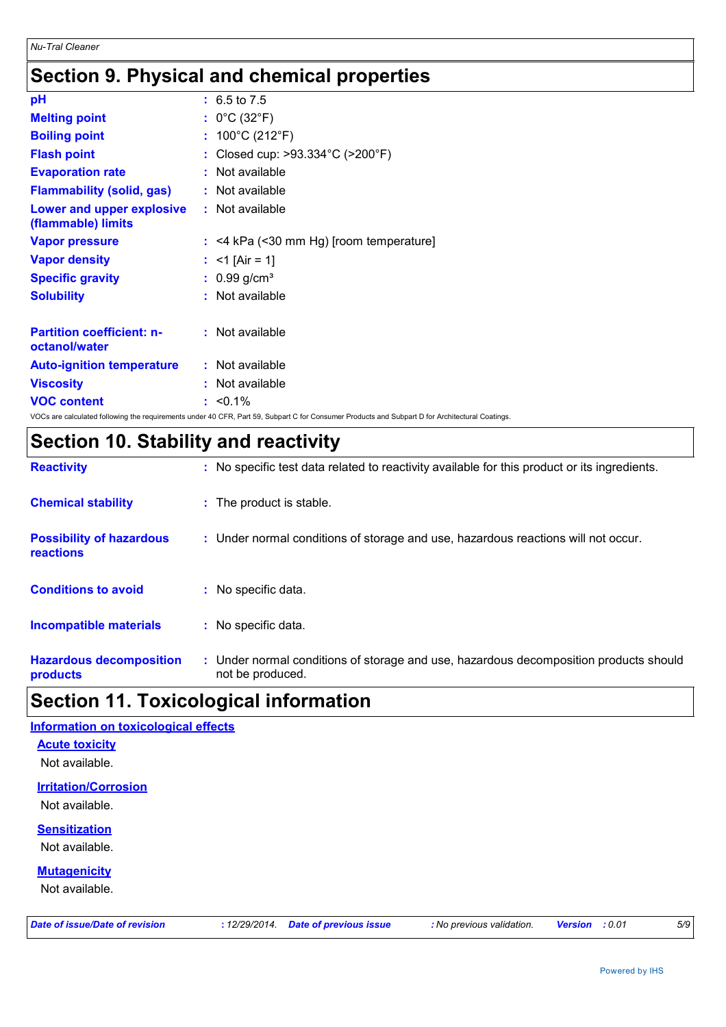## **Section 9. Physical and chemical properties**

| рH                                                | $: 6.5 \text{ to } 7.5$                               |
|---------------------------------------------------|-------------------------------------------------------|
| <b>Melting point</b>                              | : $0^{\circ}$ C (32 $^{\circ}$ F)                     |
| <b>Boiling point</b>                              | : $100^{\circ}$ C (212 $^{\circ}$ F)                  |
| <b>Flash point</b>                                | : Closed cup: $>93.334^{\circ}$ C ( $>200^{\circ}$ F) |
| <b>Evaporation rate</b>                           | : Not available                                       |
| <b>Flammability (solid, gas)</b>                  | : Not available                                       |
| Lower and upper explosive<br>(flammable) limits   | : Not available                                       |
| <b>Vapor pressure</b>                             | $:$ <4 kPa (<30 mm Hg) [room temperature]             |
| <b>Vapor density</b>                              | : <1 [Air = 1]                                        |
| <b>Specific gravity</b>                           | $: 0.99$ g/cm <sup>3</sup>                            |
| <b>Solubility</b>                                 | : Not available                                       |
|                                                   |                                                       |
| <b>Partition coefficient: n-</b><br>octanol/water | $:$ Not available                                     |
| <b>Auto-ignition temperature</b>                  | : Not available                                       |
| <b>Viscosity</b>                                  | : Not available                                       |
| <b>VOC content</b>                                | $: 50.1\%$                                            |
|                                                   |                                                       |

VOCs are calculated following the requirements under 40 CFR, Part 59, Subpart C for Consumer Products and Subpart D for Architectural Coatings.

## **Section 10. Stability and reactivity**

| <b>Hazardous decomposition</b><br>products   | : Under normal conditions of storage and use, hazardous decomposition products should<br>not be produced. |
|----------------------------------------------|-----------------------------------------------------------------------------------------------------------|
| <b>Incompatible materials</b>                | : No specific data.                                                                                       |
| <b>Conditions to avoid</b>                   | : No specific data.                                                                                       |
| <b>Possibility of hazardous</b><br>reactions | : Under normal conditions of storage and use, hazardous reactions will not occur.                         |
| <b>Chemical stability</b>                    | : The product is stable.                                                                                  |
| <b>Reactivity</b>                            | : No specific test data related to reactivity available for this product or its ingredients.              |

## **Section 11. Toxicological information**

| <b>Information on toxicological effects</b>   |
|-----------------------------------------------|
| <b>Acute toxicity</b>                         |
| Not available.                                |
| <b>Irritation/Corrosion</b><br>Not available. |
| <b>Sensitization</b><br>Not available.        |
| <b>Mutagenicity</b><br>Not available.         |
|                                               |

| Date of issue/Date of revision |  |
|--------------------------------|--|
|--------------------------------|--|

*Date of issue/Date of revision* **:** *12/29/2014. Date of previous issue : No previous validation. Version : 0.01 5/9*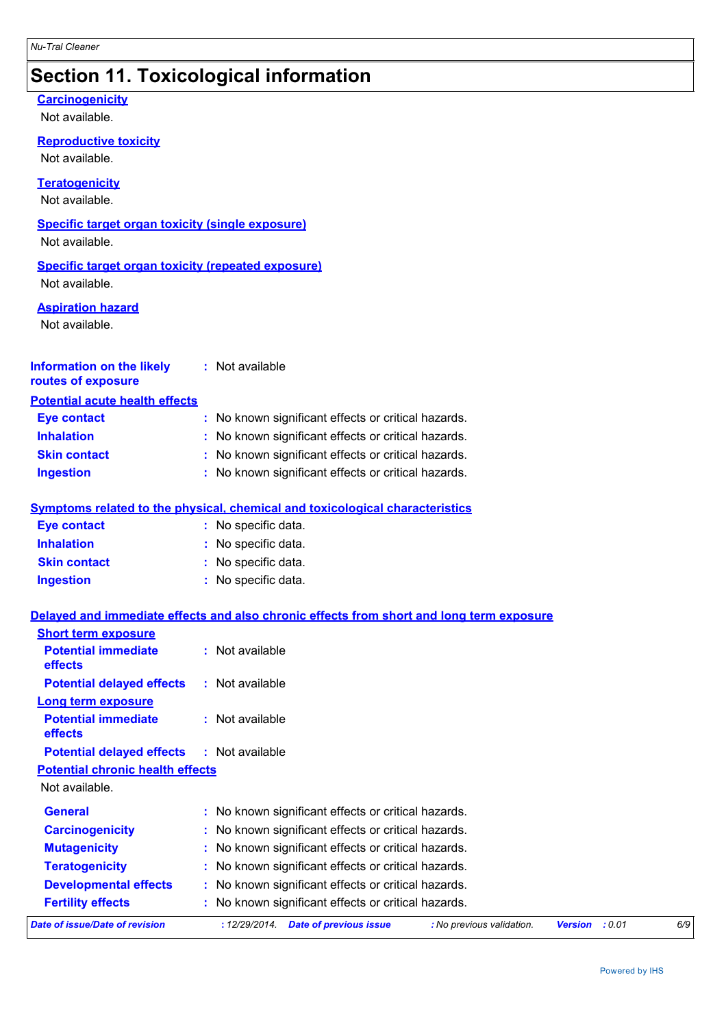## **Section 11. Toxicological information**

### **Carcinogenicity**

Not available.

**Reproductive toxicity**

Not available.

**Teratogenicity**

Not available.

### **Specific target organ toxicity (single exposure)**

Not available.

### **Specific target organ toxicity (repeated exposure)**

Not available.

### **Aspiration hazard**

Not available.

#### **Information on the likely routes of exposure :** Not available

### **Potential acute health effects**

| Eye contact         | : No known significant effects or critical hazards. |
|---------------------|-----------------------------------------------------|
| <b>Inhalation</b>   | : No known significant effects or critical hazards. |
| <b>Skin contact</b> | : No known significant effects or critical hazards. |
| <b>Ingestion</b>    | : No known significant effects or critical hazards. |

### **Symptoms related to the physical, chemical and toxicological characteristics**

| <b>Eye contact</b>  | : No specific data. |
|---------------------|---------------------|
| <b>Inhalation</b>   | : No specific data. |
| <b>Skin contact</b> | : No specific data. |
| Ingestion           | : No specific data. |

### **Delayed and immediate effects and also chronic effects from short and long term exposure**

| <b>Short term exposure</b>                   |                                                                             |                          |     |
|----------------------------------------------|-----------------------------------------------------------------------------|--------------------------|-----|
| <b>Potential immediate</b><br><b>effects</b> | $:$ Not available                                                           |                          |     |
| <b>Potential delayed effects</b>             | $:$ Not available                                                           |                          |     |
| <b>Long term exposure</b>                    |                                                                             |                          |     |
| <b>Potential immediate</b><br><b>effects</b> | $:$ Not available                                                           |                          |     |
| <b>Potential delayed effects</b>             | : Not available                                                             |                          |     |
| <b>Potential chronic health effects</b>      |                                                                             |                          |     |
| Not available.                               |                                                                             |                          |     |
| <b>General</b>                               | : No known significant effects or critical hazards.                         |                          |     |
| <b>Carcinogenicity</b>                       | : No known significant effects or critical hazards.                         |                          |     |
| <b>Mutagenicity</b>                          | : No known significant effects or critical hazards.                         |                          |     |
| <b>Teratogenicity</b>                        | : No known significant effects or critical hazards.                         |                          |     |
| <b>Developmental effects</b>                 | : No known significant effects or critical hazards.                         |                          |     |
| <b>Fertility effects</b>                     | : No known significant effects or critical hazards.                         |                          |     |
| Date of issue/Date of revision               | <b>Date of previous issue</b><br>: 12/29/2014.<br>: No previous validation. | : 0.01<br><b>Version</b> | 6/9 |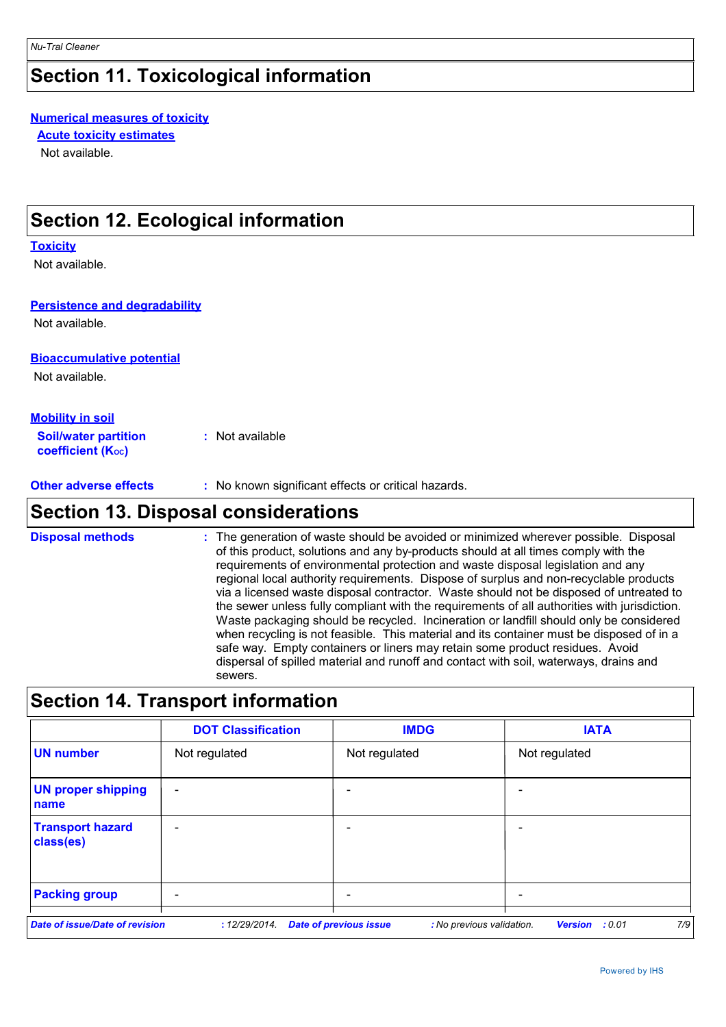## **Section 11. Toxicological information**

### **Numerical measures of toxicity**

**Acute toxicity estimates**

Not available.

## **Section 12. Ecological information**

### **Toxicity**

Not available.

### **Persistence and degradability**

Not available.

### **Bioaccumulative potential**

Not available.

### **Mobility in soil**

**Soil/water partition coefficient (Koc) :** Not available

**Other adverse effects** : No known significant effects or critical hazards.

### **Section 13. Disposal considerations**

The generation of waste should be avoided or minimized wherever possible. Disposal of this product, solutions and any by-products should at all times comply with the requirements of environmental protection and waste disposal legislation and any regional local authority requirements. Dispose of surplus and non-recyclable products via a licensed waste disposal contractor. Waste should not be disposed of untreated to the sewer unless fully compliant with the requirements of all authorities with jurisdiction. Waste packaging should be recycled. Incineration or landfill should only be considered when recycling is not feasible. This material and its container must be disposed of in a safe way. Empty containers or liners may retain some product residues. Avoid dispersal of spilled material and runoff and contact with soil, waterways, drains and sewers. **Disposal methods :**

## **Section 14. Transport information**

|                                       | <b>DOT Classification</b> | <b>IMDG</b>                                                | <b>IATA</b>                  |
|---------------------------------------|---------------------------|------------------------------------------------------------|------------------------------|
| <b>UN number</b>                      | Not regulated             | Not regulated                                              | Not regulated                |
| <b>UN proper shipping</b><br>name     | $\overline{\phantom{a}}$  |                                                            |                              |
| <b>Transport hazard</b><br>class(es)  | $\overline{\phantom{a}}$  | -                                                          |                              |
| <b>Packing group</b>                  | $\overline{\phantom{a}}$  |                                                            | -                            |
| <b>Date of issue/Date of revision</b> | : 12/29/2014.             | <b>Date of previous issue</b><br>: No previous validation. | 7/9<br><b>Version</b> : 0.01 |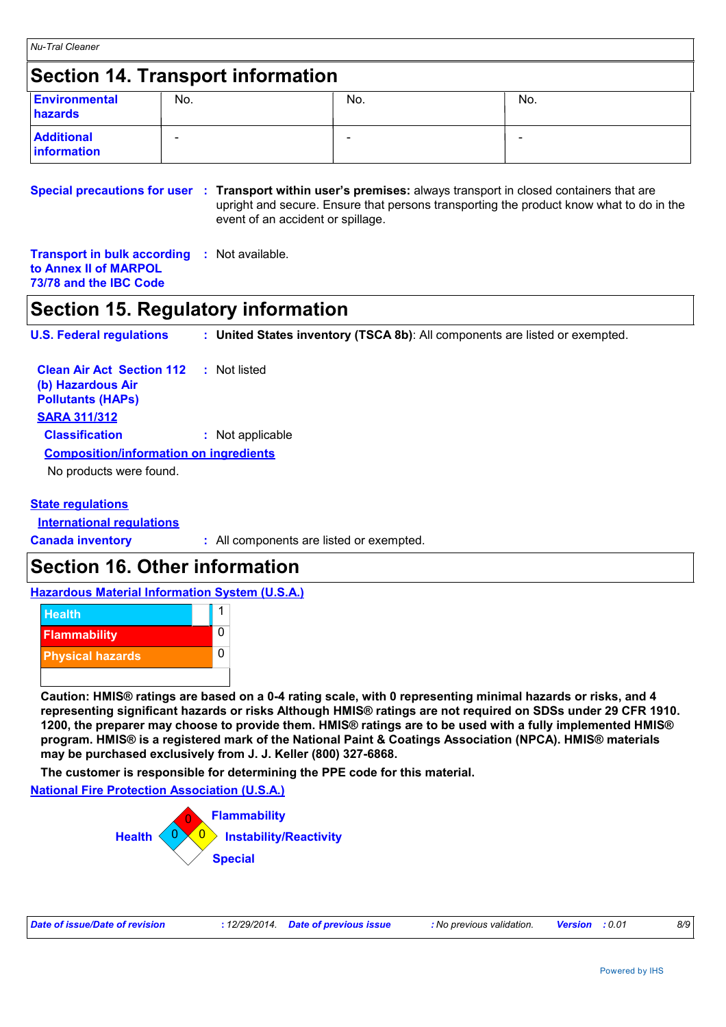## **Section 14. Transport information**

| <b>Environmental</b><br>hazards  | No.                      | No. | No. |
|----------------------------------|--------------------------|-----|-----|
| <b>Additional</b><br>information | $\overline{\phantom{0}}$ | -   | -   |

**Special precautions for user : Transport within user's premises: always transport in closed containers that are** upright and secure. Ensure that persons transporting the product know what to do in the event of an accident or spillage.

**Transport in bulk according :** Not available. **to Annex II of MARPOL 73/78 and the IBC Code**

## **Section 15. Regulatory information**

**U.S. Federal regulations : United States inventory (TSCA 8b)**: All components are listed or exempted.

| <b>Clean Air Act Section 112</b><br>(b) Hazardous Air<br><b>Pollutants (HAPs)</b> | : Not listed     |
|-----------------------------------------------------------------------------------|------------------|
| <b>SARA 311/312</b>                                                               |                  |
| <b>Classification</b>                                                             | : Not applicable |
| <b>Composition/information on ingredients</b>                                     |                  |
| No products were found.                                                           |                  |
|                                                                                   |                  |

### **State regulations**

**International regulations**

**Canada inventory :** All components are listed or exempted.

## **Section 16. Other information**

**Hazardous Material Information System (U.S.A.)**



**Caution: HMIS® ratings are based on a 0-4 rating scale, with 0 representing minimal hazards or risks, and 4 representing significant hazards or risks Although HMIS® ratings are not required on SDSs under 29 CFR 1910. 1200, the preparer may choose to provide them. HMIS® ratings are to be used with a fully implemented HMIS® program. HMIS® is a registered mark of the National Paint & Coatings Association (NPCA). HMIS® materials may be purchased exclusively from J. J. Keller (800) 327-6868.**

**The customer is responsible for determining the PPE code for this material.**

**National Fire Protection Association (U.S.A.)**